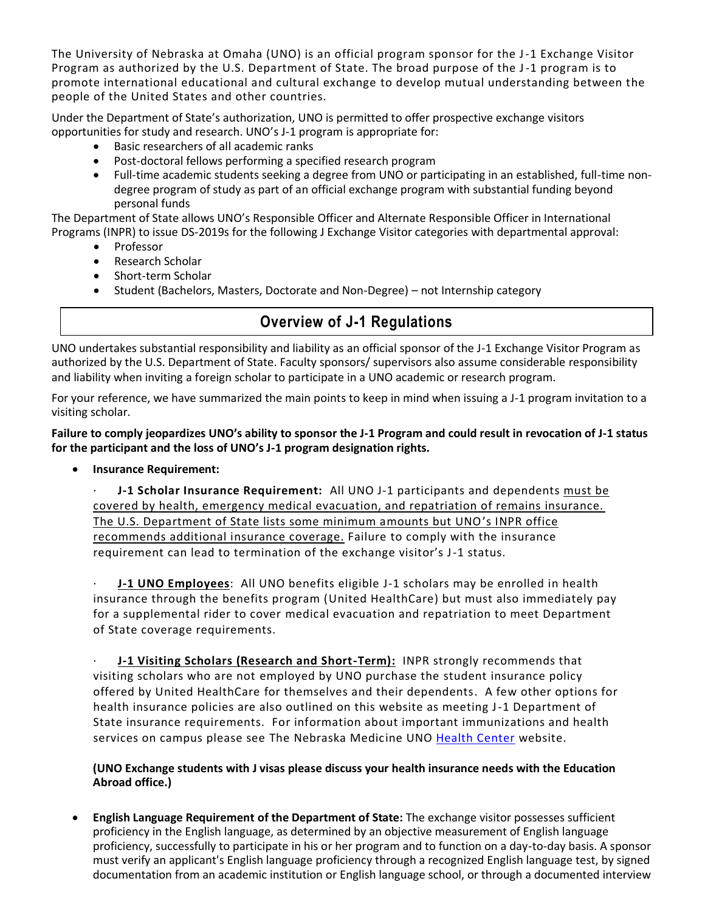The University of Nebraska at Omaha (UNO) is an official program sponsor for the J-1 Exchange Visitor Program as authorized by the U.S. Department of State. The broad purpose of the J-1 program is to promote international educational and cultural exchange to develop mutual understanding between the people of the United States and other countries.

Under the Department of State's authorization, UNO is permitted to offer prospective exchange visitors opportunities for study and research. UNO's J-1 program is appropriate for:

- Basic researchers of all academic ranks
- Post-doctoral fellows performing a specified research program
- Full-time academic students seeking a degree from UNO or participating in an established, full-time nondegree program of study as part of an official exchange program with substantial funding beyond personal funds

The Department of State allows UNO's Responsible Officer and Alternate Responsible Officer in International Programs (INPR) to issue DS-2019s for the following J Exchange Visitor categories with departmental approval:

- Professor
- Research Scholar
- Short-term Scholar
- Student (Bachelors, Masters, Doctorate and Non-Degree) not Internship category

## **Overview of J-1 Regulations**

UNO undertakes substantial responsibility and liability as an official sponsor of the J-1 Exchange Visitor Program as authorized by the U.S. Department of State. Faculty sponsors/ supervisors also assume considerable responsibility and liability when inviting a foreign scholar to participate in a UNO academic or research program.

For your reference, we have summarized the main points to keep in mind when issuing a J-1 program invitation to a visiting scholar.

**Failure to comply jeopardizes UNO's ability to sponsor the J-1 Program and could result in revocation of J-1 status for the participant and the loss of UNO's J-1 program designation rights.** 

• **Insurance Requirement:** 

**J-1 Scholar Insurance Requirement:** All UNO J-1 participants and dependents must be covered by health, emergency medical evacuation, and repatriation of remains insurance. The U.S. Department of State lists some minimum amounts but UNO's INPR office recommends additional insurance coverage. Failure to comply with the insurance requirement can lead to termination of the exchange visitor's J-1 status.

· **J-1 UNO Employees**: All UNO benefits eligible J-1 scholars may be enrolled in health insurance through the benefits program (United HealthCare) but must also immediately pay for a supplemental rider to cover medical evacuation and repatriation to meet Department of State coverage requirements.

**J-1 Visiting Scholars (Research and Short-Term):** INPR strongly recommends that visiting scholars who are not employed by UNO purchase the student insurance policy offered by United HealthCare for themselves and their dependents. A few other options for health insurance policies are also outlined on this website as meeting J-1 Department of State insurance requirements. For information about important immunizations and health services on campus please see The Nebraska Medicine UNO [Health Center](https://www.unomaha.edu/student-life/wellness/health-services/index.php) website.

**(UNO Exchange students with J visas please discuss your health insurance needs with the Education Abroad office.)**

• **English Language Requirement of the Department of State:** The exchange visitor possesses sufficient proficiency in the English language, as determined by an objective measurement of English language proficiency, successfully to participate in his or her program and to function on a day-to-day basis. A sponsor must verify an applicant's English language proficiency through a recognized English language test, by signed documentation from an academic institution or English language school, or through a documented interview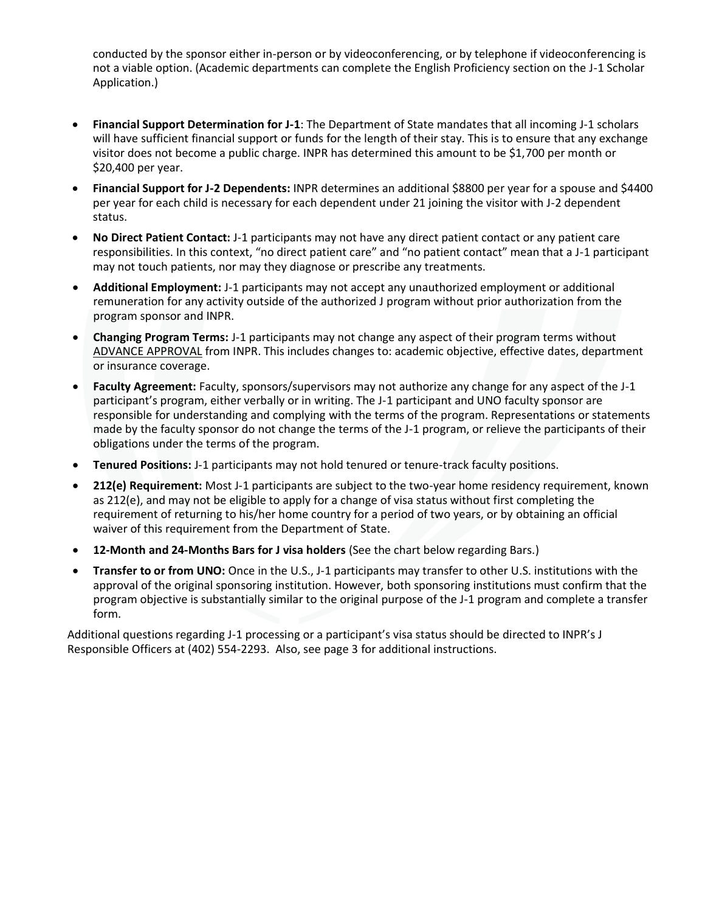conducted by the sponsor either in-person or by videoconferencing, or by telephone if videoconferencing is not a viable option. (Academic departments can complete the English Proficiency section on the J-1 Scholar Application.)

- **Financial Support Determination for J-1**: The Department of State mandates that all incoming J-1 scholars will have sufficient financial support or funds for the length of their stay. This is to ensure that any exchange visitor does not become a public charge. INPR has determined this amount to be \$1,700 per month or \$20,400 per year.
- **Financial Support for J-2 Dependents:** INPR determines an additional \$8800 per year for a spouse and \$4400 per year for each child is necessary for each dependent under 21 joining the visitor with J-2 dependent status.
- **No Direct Patient Contact:** J-1 participants may not have any direct patient contact or any patient care responsibilities. In this context, "no direct patient care" and "no patient contact" mean that a J-1 participant may not touch patients, nor may they diagnose or prescribe any treatments.
- **Additional Employment:** J-1 participants may not accept any unauthorized employment or additional remuneration for any activity outside of the authorized J program without prior authorization from the program sponsor and INPR.
- **Changing Program Terms:** J-1 participants may not change any aspect of their program terms without ADVANCE APPROVAL from INPR. This includes changes to: academic objective, effective dates, department or insurance coverage.
- **Faculty Agreement:** Faculty, sponsors/supervisors may not authorize any change for any aspect of the J-1 participant's program, either verbally or in writing. The J-1 participant and UNO faculty sponsor are responsible for understanding and complying with the terms of the program. Representations or statements made by the faculty sponsor do not change the terms of the J-1 program, or relieve the participants of their obligations under the terms of the program.
- **Tenured Positions:** J-1 participants may not hold tenured or tenure-track faculty positions.
- **212(e) Requirement:** Most J-1 participants are subject to the two-year home residency requirement, known as 212(e), and may not be eligible to apply for a change of visa status without first completing the requirement of returning to his/her home country for a period of two years, or by obtaining an official waiver of this requirement from the Department of State.
- **12-Month and 24-Months Bars for J visa holders** (See the chart below regarding Bars.)
- **Transfer to or from UNO:** Once in the U.S., J-1 participants may transfer to other U.S. institutions with the approval of the original sponsoring institution. However, both sponsoring institutions must confirm that the program objective is substantially similar to the original purpose of the J-1 program and complete a transfer form.

Additional questions regarding J-1 processing or a participant's visa status should be directed to INPR's J Responsible Officers at (402) 554-2293. Also, see page 3 for additional instructions.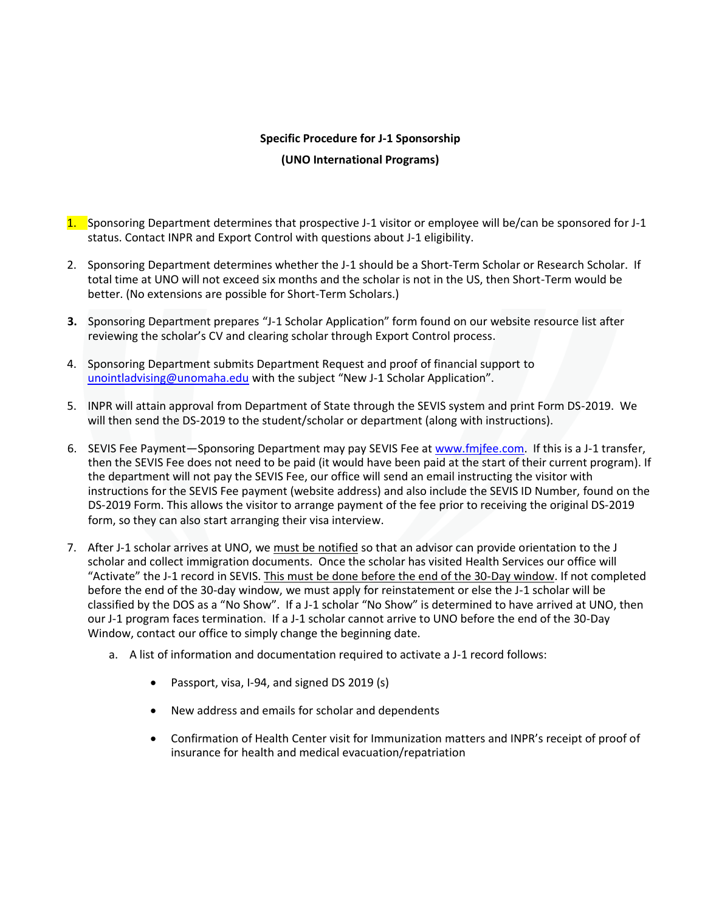## **Specific Procedure for J-1 Sponsorship**

## **(UNO International Programs)**

- 1. Sponsoring Department determines that prospective J-1 visitor or employee will be/can be sponsored for J-1 status. Contact INPR and Export Control with questions about J-1 eligibility.
- 2. Sponsoring Department determines whether the J-1 should be a Short-Term Scholar or Research Scholar. If total time at UNO will not exceed six months and the scholar is not in the US, then Short-Term would be better. (No extensions are possible for Short-Term Scholars.)
- **3.** Sponsoring Department prepares "J-1 Scholar Application" form found on our website resource list after reviewing the scholar's CV and clearing scholar through Export Control process.
- 4. Sponsoring Department submits Department Request and proof of financial support to [unointladvising@unomaha.edu](mailto:unointladvising@unomaha.edu) with the subject "New J-1 Scholar Application".
- 5. INPR will attain approval from Department of State through the SEVIS system and print Form DS-2019. We will then send the DS-2019 to the student/scholar or department (along with instructions).
- 6. SEVIS Fee Payment—Sponsoring Department may pay SEVIS Fee at [www.fmjfee.com.](http://www.fmjfee.com/) If this is a J-1 transfer, then the SEVIS Fee does not need to be paid (it would have been paid at the start of their current program). If the department will not pay the SEVIS Fee, our office will send an email instructing the visitor with instructions for the SEVIS Fee payment (website address) and also include the SEVIS ID Number, found on the DS-2019 Form. This allows the visitor to arrange payment of the fee prior to receiving the original DS-2019 form, so they can also start arranging their visa interview.
- 7. After J-1 scholar arrives at UNO, we must be notified so that an advisor can provide orientation to the J scholar and collect immigration documents. Once the scholar has visited Health Services our office will "Activate" the J-1 record in SEVIS. This must be done before the end of the 30-Day window. If not completed before the end of the 30-day window, we must apply for reinstatement or else the J-1 scholar will be classified by the DOS as a "No Show". If a J-1 scholar "No Show" is determined to have arrived at UNO, then our J-1 program faces termination. If a J-1 scholar cannot arrive to UNO before the end of the 30-Day Window, contact our office to simply change the beginning date.
	- a. A list of information and documentation required to activate a J-1 record follows:
		- Passport, visa, I-94, and signed DS 2019 (s)
		- New address and emails for scholar and dependents
		- Confirmation of Health Center visit for Immunization matters and INPR's receipt of proof of insurance for health and medical evacuation/repatriation